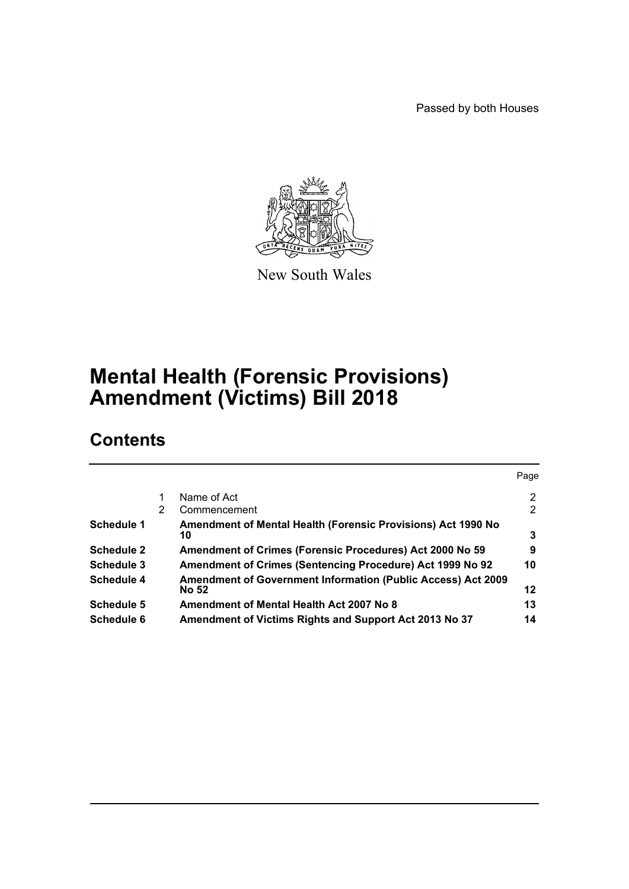Passed by both Houses



New South Wales

# **Mental Health (Forensic Provisions) Amendment (Victims) Bill 2018**

# **Contents**

|   |                                                                                     | Page |
|---|-------------------------------------------------------------------------------------|------|
|   | Name of Act                                                                         | 2    |
| 2 | Commencement                                                                        | 2    |
|   | Amendment of Mental Health (Forensic Provisions) Act 1990 No<br>10                  | 3    |
|   | Amendment of Crimes (Forensic Procedures) Act 2000 No 59                            | 9    |
|   | Amendment of Crimes (Sentencing Procedure) Act 1999 No 92                           | 10   |
|   | <b>Amendment of Government Information (Public Access) Act 2009</b><br><b>No 52</b> | 12   |
|   | Amendment of Mental Health Act 2007 No 8                                            | 13   |
|   | Amendment of Victims Rights and Support Act 2013 No 37                              | 14   |
|   |                                                                                     |      |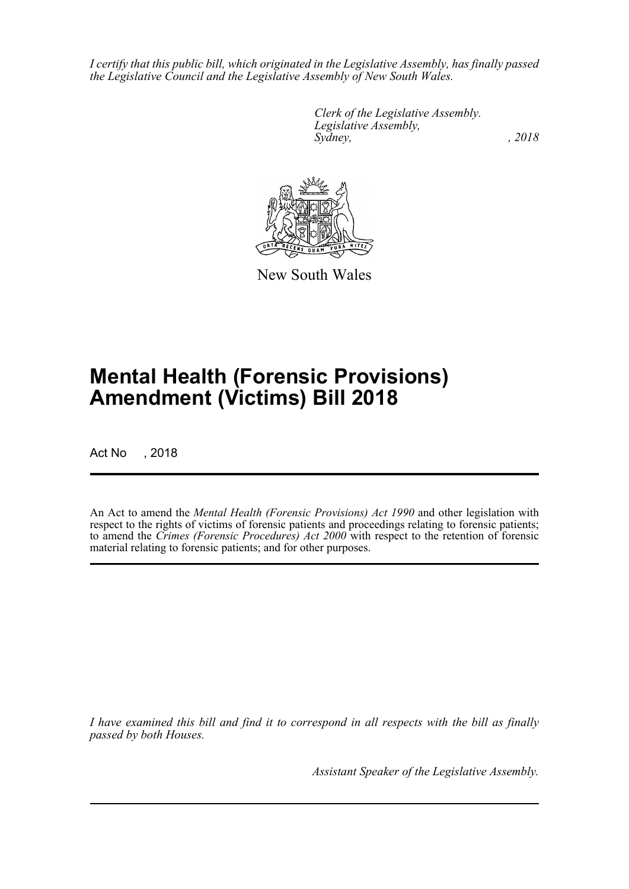*I certify that this public bill, which originated in the Legislative Assembly, has finally passed the Legislative Council and the Legislative Assembly of New South Wales.*

> *Clerk of the Legislative Assembly. Legislative Assembly, Sydney, , 2018*



New South Wales

# **Mental Health (Forensic Provisions) Amendment (Victims) Bill 2018**

Act No , 2018

An Act to amend the *Mental Health (Forensic Provisions) Act 1990* and other legislation with respect to the rights of victims of forensic patients and proceedings relating to forensic patients; to amend the *Crimes (Forensic Procedures) Act 2000* with respect to the retention of forensic material relating to forensic patients; and for other purposes.

*I have examined this bill and find it to correspond in all respects with the bill as finally passed by both Houses.*

*Assistant Speaker of the Legislative Assembly.*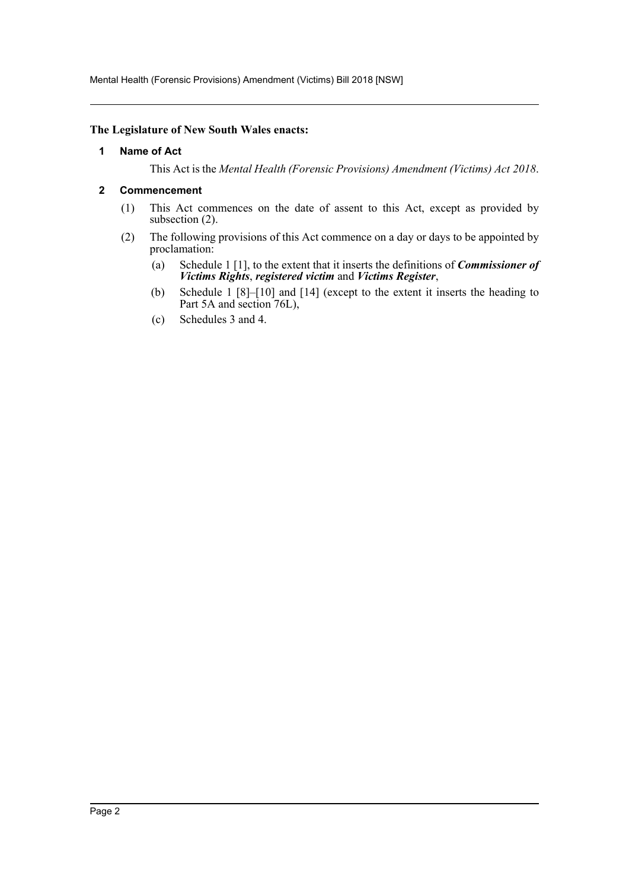Mental Health (Forensic Provisions) Amendment (Victims) Bill 2018 [NSW]

#### <span id="page-2-0"></span>**The Legislature of New South Wales enacts:**

#### **1 Name of Act**

This Act is the *Mental Health (Forensic Provisions) Amendment (Victims) Act 2018*.

#### <span id="page-2-1"></span>**2 Commencement**

- (1) This Act commences on the date of assent to this Act, except as provided by subsection (2).
- (2) The following provisions of this Act commence on a day or days to be appointed by proclamation:
	- (a) Schedule 1 [1], to the extent that it inserts the definitions of *Commissioner of Victims Rights*, *registered victim* and *Victims Register*,
	- (b) Schedule 1 [8]–[10] and [14] (except to the extent it inserts the heading to Part 5A and section 76L),
	- (c) Schedules 3 and 4.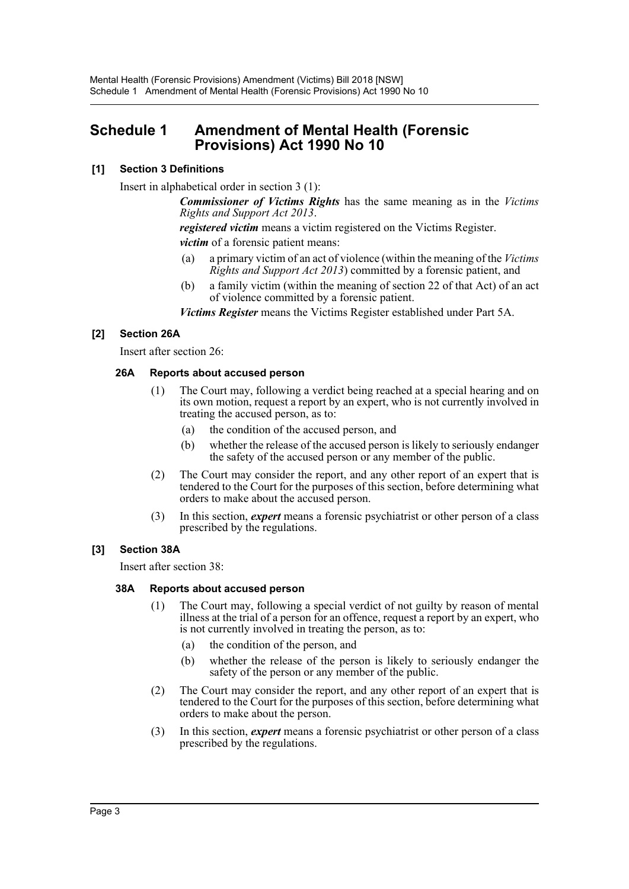# <span id="page-3-0"></span>**Schedule 1 Amendment of Mental Health (Forensic Provisions) Act 1990 No 10**

# **[1] Section 3 Definitions**

Insert in alphabetical order in section 3 (1):

*Commissioner of Victims Rights* has the same meaning as in the *Victims Rights and Support Act 2013*.

*registered victim* means a victim registered on the Victims Register. *victim* of a forensic patient means:

- (a) a primary victim of an act of violence (within the meaning of the *Victims Rights and Support Act 2013*) committed by a forensic patient, and
- (b) a family victim (within the meaning of section 22 of that Act) of an act of violence committed by a forensic patient.

*Victims Register* means the Victims Register established under Part 5A.

# **[2] Section 26A**

Insert after section 26:

# **26A Reports about accused person**

- (1) The Court may, following a verdict being reached at a special hearing and on its own motion, request a report by an expert, who is not currently involved in treating the accused person, as to:
	- (a) the condition of the accused person, and
	- (b) whether the release of the accused person is likely to seriously endanger the safety of the accused person or any member of the public.
- (2) The Court may consider the report, and any other report of an expert that is tendered to the Court for the purposes of this section, before determining what orders to make about the accused person.
- (3) In this section, *expert* means a forensic psychiatrist or other person of a class prescribed by the regulations.

# **[3] Section 38A**

Insert after section 38:

## **38A Reports about accused person**

- (1) The Court may, following a special verdict of not guilty by reason of mental illness at the trial of a person for an offence, request a report by an expert, who is not currently involved in treating the person, as to:
	- (a) the condition of the person, and
	- (b) whether the release of the person is likely to seriously endanger the safety of the person or any member of the public.
- (2) The Court may consider the report, and any other report of an expert that is tendered to the Court for the purposes of this section, before determining what orders to make about the person.
- (3) In this section, *expert* means a forensic psychiatrist or other person of a class prescribed by the regulations.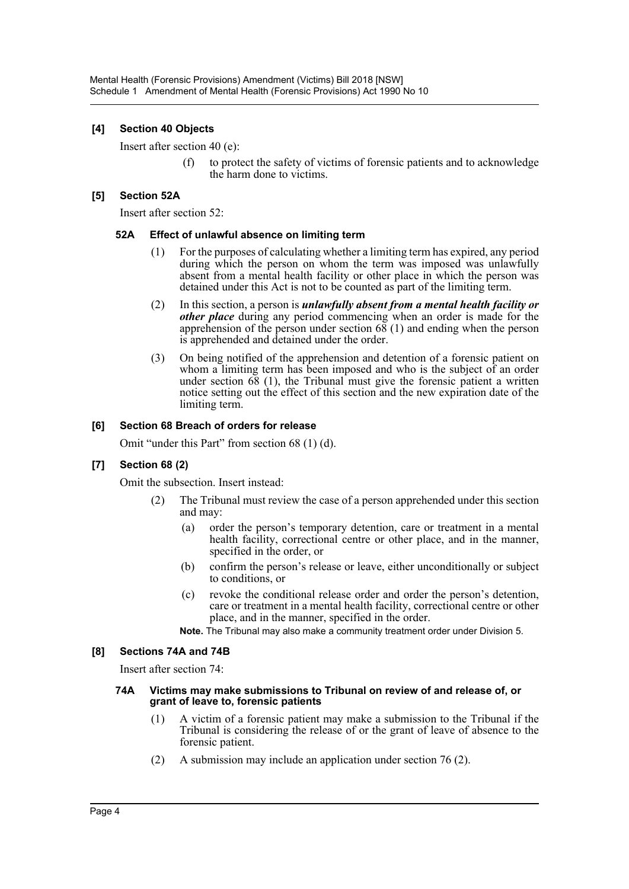# **[4] Section 40 Objects**

Insert after section 40 (e):

(f) to protect the safety of victims of forensic patients and to acknowledge the harm done to victims.

## **[5] Section 52A**

Insert after section 52:

## **52A Effect of unlawful absence on limiting term**

- (1) For the purposes of calculating whether a limiting term has expired, any period during which the person on whom the term was imposed was unlawfully absent from a mental health facility or other place in which the person was detained under this Act is not to be counted as part of the limiting term.
- (2) In this section, a person is *unlawfully absent from a mental health facility or other place* during any period commencing when an order is made for the apprehension of the person under section  $68(1)$  and ending when the person is apprehended and detained under the order.
- (3) On being notified of the apprehension and detention of a forensic patient on whom a limiting term has been imposed and who is the subject of an order under section 68 (1), the Tribunal must give the forensic patient a written notice setting out the effect of this section and the new expiration date of the limiting term.

## **[6] Section 68 Breach of orders for release**

Omit "under this Part" from section 68 (1) (d).

## **[7] Section 68 (2)**

Omit the subsection. Insert instead:

- (2) The Tribunal must review the case of a person apprehended under this section and may:
	- (a) order the person's temporary detention, care or treatment in a mental health facility, correctional centre or other place, and in the manner, specified in the order, or
	- (b) confirm the person's release or leave, either unconditionally or subject to conditions, or
	- (c) revoke the conditional release order and order the person's detention, care or treatment in a mental health facility, correctional centre or other place, and in the manner, specified in the order.

**Note.** The Tribunal may also make a community treatment order under Division 5.

## **[8] Sections 74A and 74B**

Insert after section 74:

#### **74A Victims may make submissions to Tribunal on review of and release of, or grant of leave to, forensic patients**

- (1) A victim of a forensic patient may make a submission to the Tribunal if the Tribunal is considering the release of or the grant of leave of absence to the forensic patient.
- (2) A submission may include an application under section 76 (2).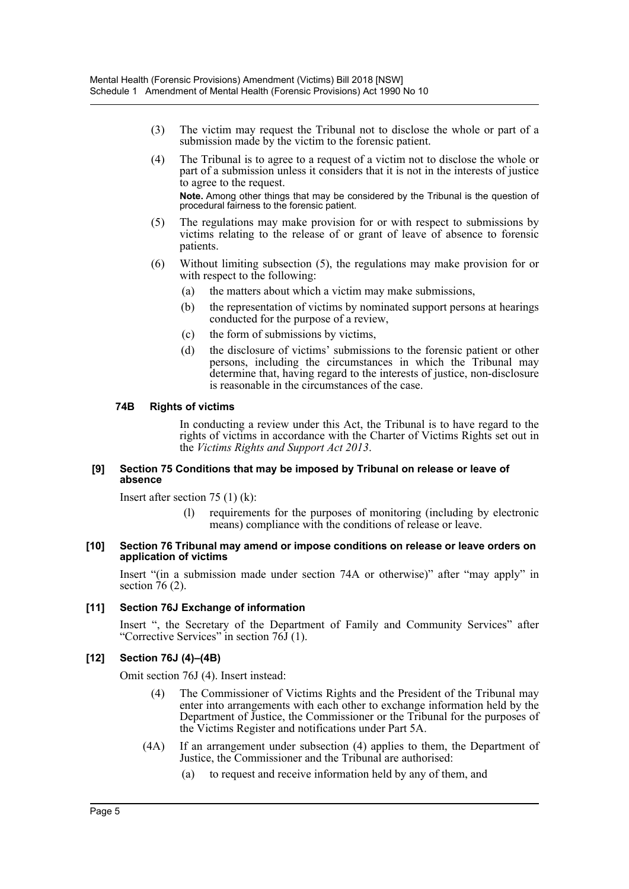- (3) The victim may request the Tribunal not to disclose the whole or part of a submission made by the victim to the forensic patient.
- (4) The Tribunal is to agree to a request of a victim not to disclose the whole or part of a submission unless it considers that it is not in the interests of justice to agree to the request. **Note.** Among other things that may be considered by the Tribunal is the question of procedural fairness to the forensic patient.
- (5) The regulations may make provision for or with respect to submissions by victims relating to the release of or grant of leave of absence to forensic patients.
- (6) Without limiting subsection (5), the regulations may make provision for or with respect to the following:
	- (a) the matters about which a victim may make submissions,
	- (b) the representation of victims by nominated support persons at hearings conducted for the purpose of a review,
	- (c) the form of submissions by victims,
	- (d) the disclosure of victims' submissions to the forensic patient or other persons, including the circumstances in which the Tribunal may determine that, having regard to the interests of justice, non-disclosure is reasonable in the circumstances of the case.

#### **74B Rights of victims**

In conducting a review under this Act, the Tribunal is to have regard to the rights of victims in accordance with the Charter of Victims Rights set out in the *Victims Rights and Support Act 2013*.

#### **[9] Section 75 Conditions that may be imposed by Tribunal on release or leave of absence**

Insert after section  $75(1)(k)$ :

(l) requirements for the purposes of monitoring (including by electronic means) compliance with the conditions of release or leave.

#### **[10] Section 76 Tribunal may amend or impose conditions on release or leave orders on application of victims**

Insert "(in a submission made under section 74A or otherwise)" after "may apply" in section 76 (2).

## **[11] Section 76J Exchange of information**

Insert ", the Secretary of the Department of Family and Community Services" after "Corrective Services" in section 76J (1).

## **[12] Section 76J (4)–(4B)**

Omit section 76J (4). Insert instead:

- (4) The Commissioner of Victims Rights and the President of the Tribunal may enter into arrangements with each other to exchange information held by the Department of Justice, the Commissioner or the Tribunal for the purposes of the Victims Register and notifications under Part 5A.
- (4A) If an arrangement under subsection (4) applies to them, the Department of Justice, the Commissioner and the Tribunal are authorised:
	- (a) to request and receive information held by any of them, and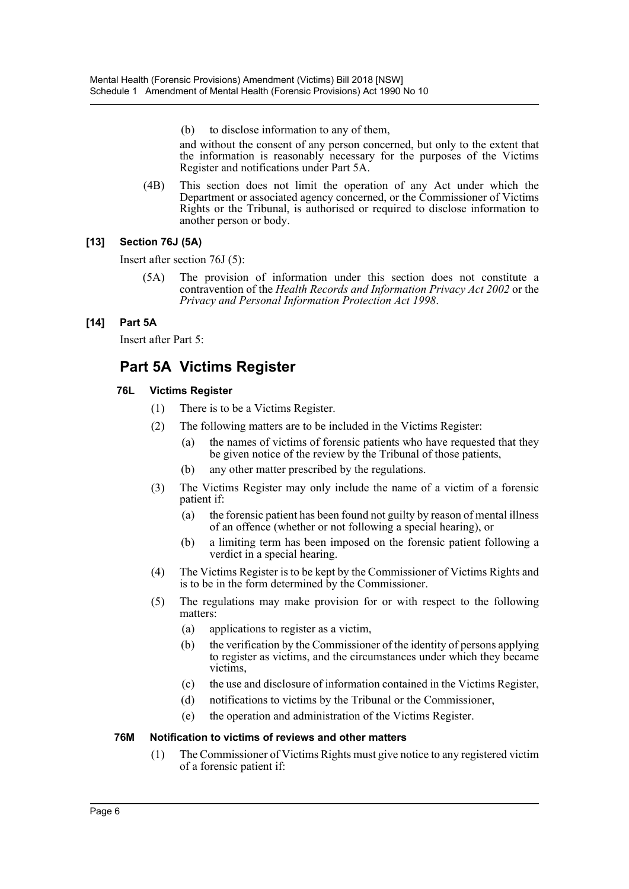(b) to disclose information to any of them,

and without the consent of any person concerned, but only to the extent that the information is reasonably necessary for the purposes of the Victims Register and notifications under Part 5A.

(4B) This section does not limit the operation of any Act under which the Department or associated agency concerned, or the Commissioner of Victims Rights or the Tribunal, is authorised or required to disclose information to another person or body.

# **[13] Section 76J (5A)**

Insert after section 76J (5):

(5A) The provision of information under this section does not constitute a contravention of the *Health Records and Information Privacy Act 2002* or the *Privacy and Personal Information Protection Act 1998*.

# **[14] Part 5A**

Insert after Part 5:

# **Part 5A Victims Register**

# **76L Victims Register**

- (1) There is to be a Victims Register.
- (2) The following matters are to be included in the Victims Register:
	- (a) the names of victims of forensic patients who have requested that they be given notice of the review by the Tribunal of those patients,
	- (b) any other matter prescribed by the regulations.
- (3) The Victims Register may only include the name of a victim of a forensic patient if:
	- (a) the forensic patient has been found not guilty by reason of mental illness of an offence (whether or not following a special hearing), or
	- (b) a limiting term has been imposed on the forensic patient following a verdict in a special hearing.
- (4) The Victims Register is to be kept by the Commissioner of Victims Rights and is to be in the form determined by the Commissioner.
- (5) The regulations may make provision for or with respect to the following matters:
	- (a) applications to register as a victim,
	- (b) the verification by the Commissioner of the identity of persons applying to register as victims, and the circumstances under which they became victims,
	- (c) the use and disclosure of information contained in the Victims Register,
	- (d) notifications to victims by the Tribunal or the Commissioner,
	- (e) the operation and administration of the Victims Register.

## **76M Notification to victims of reviews and other matters**

(1) The Commissioner of Victims Rights must give notice to any registered victim of a forensic patient if: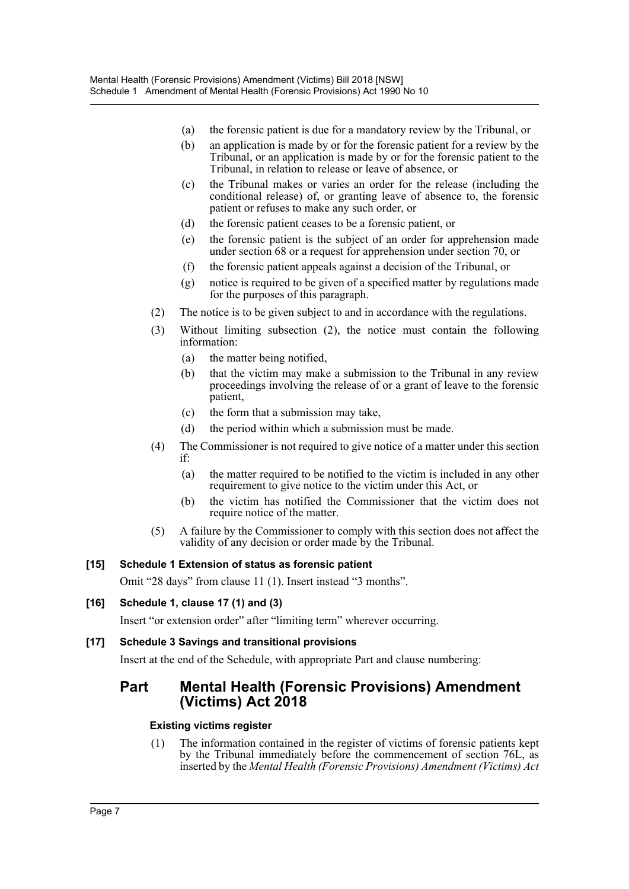- (a) the forensic patient is due for a mandatory review by the Tribunal, or
- (b) an application is made by or for the forensic patient for a review by the Tribunal, or an application is made by or for the forensic patient to the Tribunal, in relation to release or leave of absence, or
- (c) the Tribunal makes or varies an order for the release (including the conditional release) of, or granting leave of absence to, the forensic patient or refuses to make any such order, or
- (d) the forensic patient ceases to be a forensic patient, or
- (e) the forensic patient is the subject of an order for apprehension made under section 68 or a request for apprehension under section 70, or
- (f) the forensic patient appeals against a decision of the Tribunal, or
- (g) notice is required to be given of a specified matter by regulations made for the purposes of this paragraph.
- (2) The notice is to be given subject to and in accordance with the regulations.
- (3) Without limiting subsection (2), the notice must contain the following information:
	- (a) the matter being notified,
	- (b) that the victim may make a submission to the Tribunal in any review proceedings involving the release of or a grant of leave to the forensic patient,
	- (c) the form that a submission may take,
	- (d) the period within which a submission must be made.
- (4) The Commissioner is not required to give notice of a matter under this section if:
	- (a) the matter required to be notified to the victim is included in any other requirement to give notice to the victim under this Act, or
	- (b) the victim has notified the Commissioner that the victim does not require notice of the matter.
- (5) A failure by the Commissioner to comply with this section does not affect the validity of any decision or order made by the Tribunal.

# **[15] Schedule 1 Extension of status as forensic patient**

Omit "28 days" from clause 11 (1). Insert instead "3 months".

# **[16] Schedule 1, clause 17 (1) and (3)**

Insert "or extension order" after "limiting term" wherever occurring.

# **[17] Schedule 3 Savings and transitional provisions**

Insert at the end of the Schedule, with appropriate Part and clause numbering:

# **Part Mental Health (Forensic Provisions) Amendment (Victims) Act 2018**

## **Existing victims register**

(1) The information contained in the register of victims of forensic patients kept by the Tribunal immediately before the commencement of section 76L, as inserted by the *Mental Health (Forensic Provisions) Amendment (Victims) Act*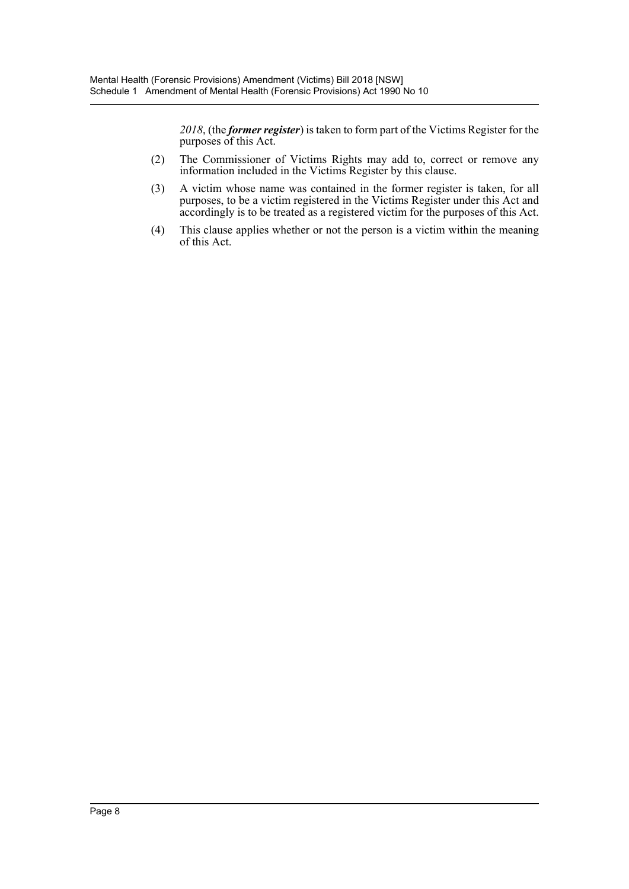*2018*, (the *former register*) is taken to form part of the Victims Register for the purposes of this Act.

- (2) The Commissioner of Victims Rights may add to, correct or remove any information included in the Victims Register by this clause.
- (3) A victim whose name was contained in the former register is taken, for all purposes, to be a victim registered in the Victims Register under this Act and accordingly is to be treated as a registered victim for the purposes of this Act.
- (4) This clause applies whether or not the person is a victim within the meaning of this Act.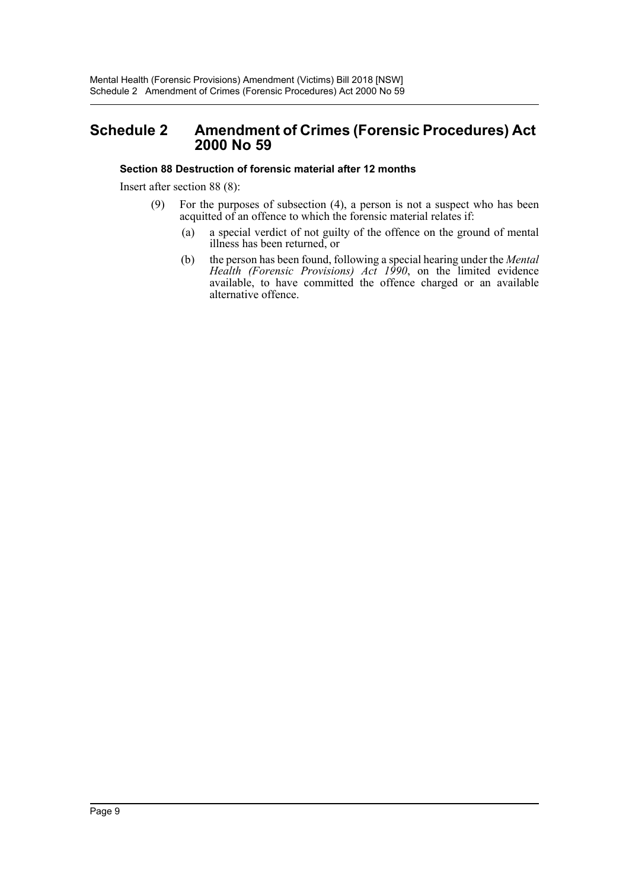# <span id="page-9-0"></span>**Schedule 2 Amendment of Crimes (Forensic Procedures) Act 2000 No 59**

## **Section 88 Destruction of forensic material after 12 months**

Insert after section 88 (8):

- (9) For the purposes of subsection (4), a person is not a suspect who has been acquitted of an offence to which the forensic material relates if:
	- (a) a special verdict of not guilty of the offence on the ground of mental illness has been returned, or
	- (b) the person has been found, following a special hearing under the *Mental Health (Forensic Provisions) Act 1990*, on the limited evidence available, to have committed the offence charged or an available alternative offence.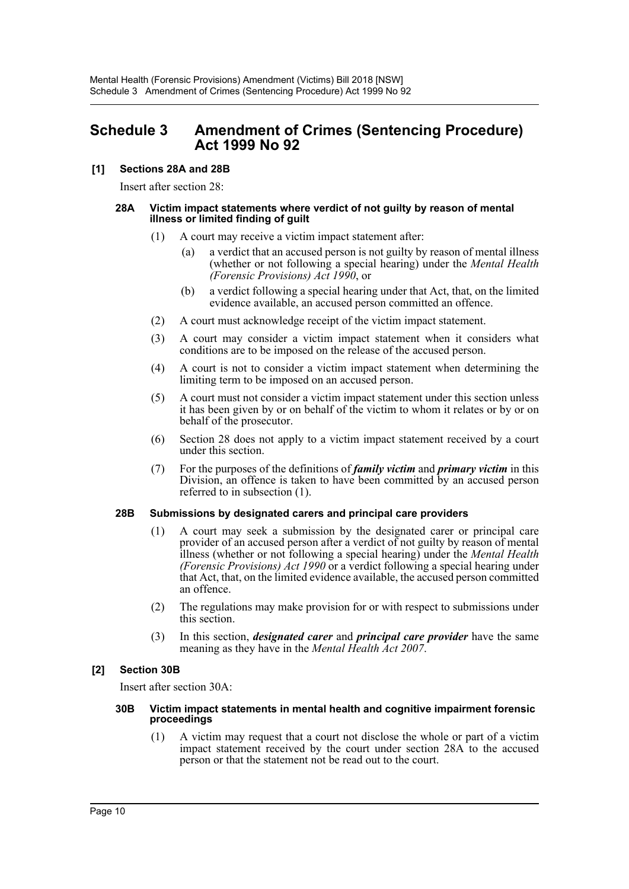# <span id="page-10-0"></span>**Schedule 3 Amendment of Crimes (Sentencing Procedure) Act 1999 No 92**

# **[1] Sections 28A and 28B**

Insert after section 28:

#### **28A Victim impact statements where verdict of not guilty by reason of mental illness or limited finding of guilt**

- (1) A court may receive a victim impact statement after:
	- (a) a verdict that an accused person is not guilty by reason of mental illness (whether or not following a special hearing) under the *Mental Health (Forensic Provisions) Act 1990*, or
	- (b) a verdict following a special hearing under that Act, that, on the limited evidence available, an accused person committed an offence.
- (2) A court must acknowledge receipt of the victim impact statement.
- (3) A court may consider a victim impact statement when it considers what conditions are to be imposed on the release of the accused person.
- (4) A court is not to consider a victim impact statement when determining the limiting term to be imposed on an accused person.
- (5) A court must not consider a victim impact statement under this section unless it has been given by or on behalf of the victim to whom it relates or by or on behalf of the prosecutor.
- (6) Section 28 does not apply to a victim impact statement received by a court under this section.
- (7) For the purposes of the definitions of *family victim* and *primary victim* in this Division, an offence is taken to have been committed by an accused person referred to in subsection (1).

## **28B Submissions by designated carers and principal care providers**

- (1) A court may seek a submission by the designated carer or principal care provider of an accused person after a verdict of not guilty by reason of mental illness (whether or not following a special hearing) under the *Mental Health (Forensic Provisions) Act 1990* or a verdict following a special hearing under that Act, that, on the limited evidence available, the accused person committed an offence.
- (2) The regulations may make provision for or with respect to submissions under this section.
- (3) In this section, *designated carer* and *principal care provider* have the same meaning as they have in the *Mental Health Act 2007*.

# **[2] Section 30B**

Insert after section 30A:

#### **30B Victim impact statements in mental health and cognitive impairment forensic proceedings**

(1) A victim may request that a court not disclose the whole or part of a victim impact statement received by the court under section 28A to the accused person or that the statement not be read out to the court.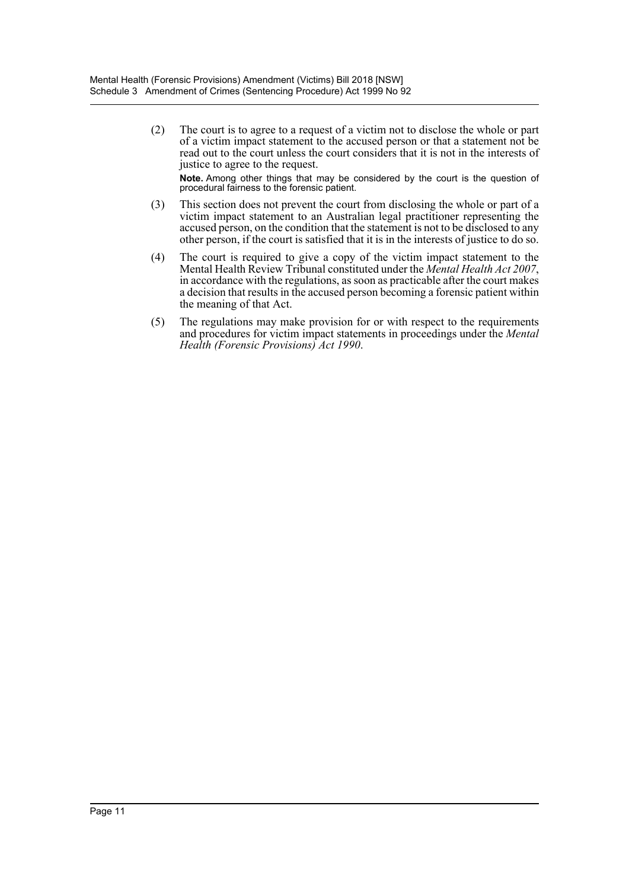(2) The court is to agree to a request of a victim not to disclose the whole or part of a victim impact statement to the accused person or that a statement not be read out to the court unless the court considers that it is not in the interests of justice to agree to the request. **Note.** Among other things that may be considered by the court is the question of

procedural fairness to the forensic patient. (3) This section does not prevent the court from disclosing the whole or part of a victim impact statement to an Australian legal practitioner representing the accused person, on the condition that the statement is not to be disclosed to any other person, if the court is satisfied that it is in the interests of justice to do so.

- (4) The court is required to give a copy of the victim impact statement to the Mental Health Review Tribunal constituted under the *Mental Health Act 2007*, in accordance with the regulations, as soon as practicable after the court makes a decision that results in the accused person becoming a forensic patient within the meaning of that Act.
- (5) The regulations may make provision for or with respect to the requirements and procedures for victim impact statements in proceedings under the *Mental Health (Forensic Provisions) Act 1990*.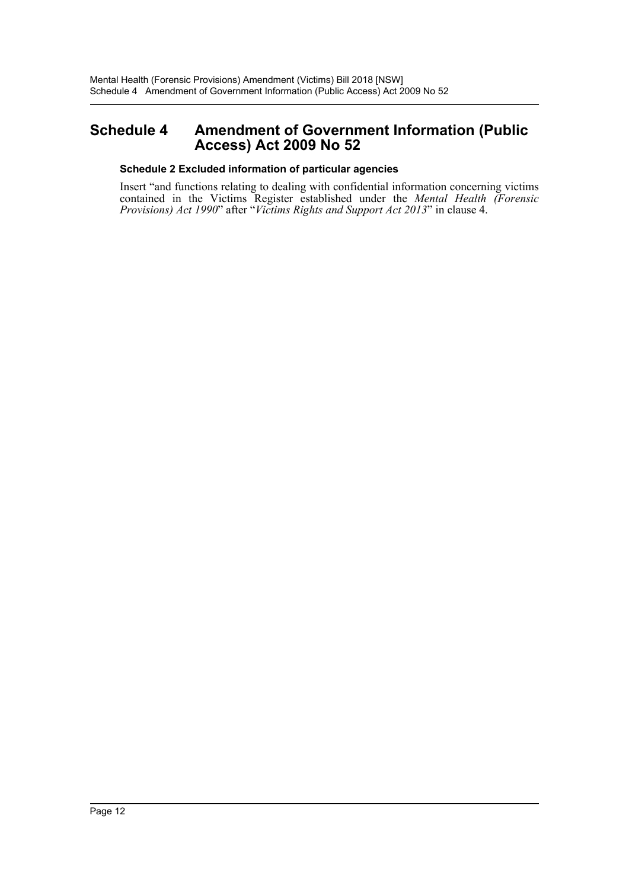# <span id="page-12-0"></span>**Schedule 4 Amendment of Government Information (Public Access) Act 2009 No 52**

## **Schedule 2 Excluded information of particular agencies**

Insert "and functions relating to dealing with confidential information concerning victims contained in the Victims Register established under the *Mental Health (Forensic Provisions) Act 1990*" after "*Victims Rights and Support Act 2013*" in clause 4.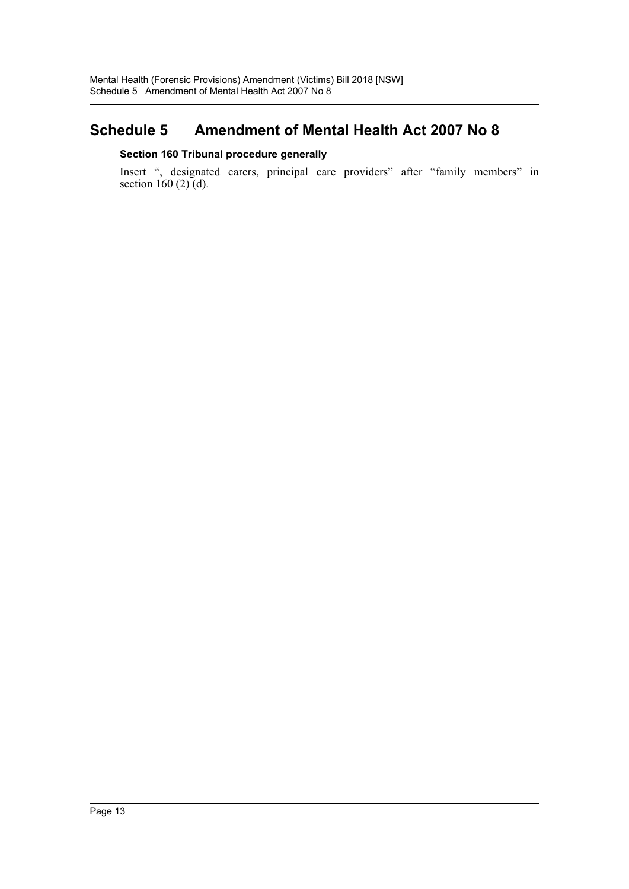# <span id="page-13-0"></span>**Schedule 5 Amendment of Mental Health Act 2007 No 8**

# **Section 160 Tribunal procedure generally**

Insert ", designated carers, principal care providers" after "family members" in section 160  $(2)$   $(d)$ .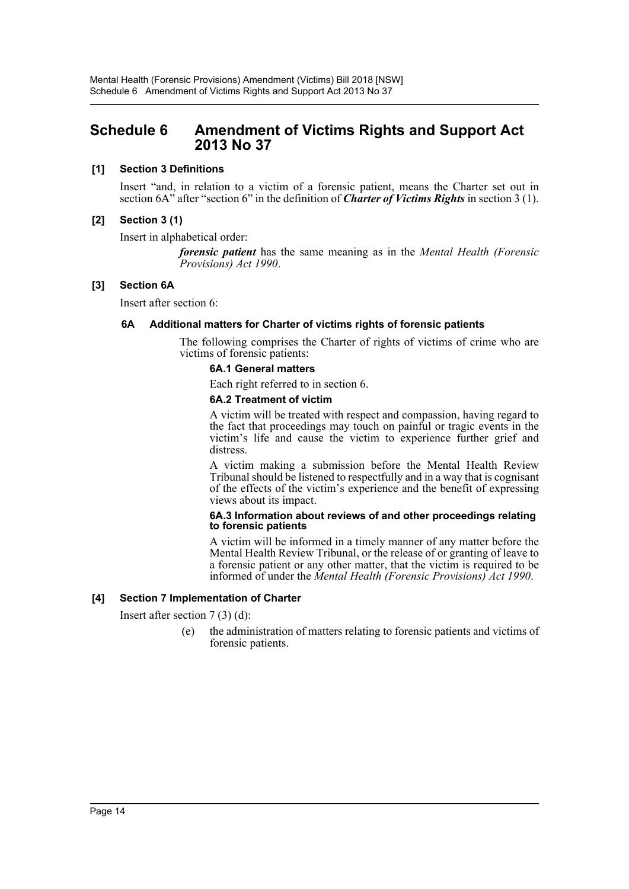# <span id="page-14-0"></span>**Schedule 6 Amendment of Victims Rights and Support Act 2013 No 37**

# **[1] Section 3 Definitions**

Insert "and, in relation to a victim of a forensic patient, means the Charter set out in section 6A" after "section 6" in the definition of *Charter of Victims Rights* in section 3 (1).

# **[2] Section 3 (1)**

Insert in alphabetical order:

*forensic patient* has the same meaning as in the *Mental Health (Forensic Provisions) Act 1990*.

## **[3] Section 6A**

Insert after section 6:

# **6A Additional matters for Charter of victims rights of forensic patients**

The following comprises the Charter of rights of victims of crime who are victims of forensic patients:

# **6A.1 General matters**

Each right referred to in section 6.

#### **6A.2 Treatment of victim**

A victim will be treated with respect and compassion, having regard to the fact that proceedings may touch on painful or tragic events in the victim's life and cause the victim to experience further grief and distress.

A victim making a submission before the Mental Health Review Tribunal should be listened to respectfully and in a way that is cognisant of the effects of the victim's experience and the benefit of expressing views about its impact.

#### **6A.3 Information about reviews of and other proceedings relating to forensic patients**

A victim will be informed in a timely manner of any matter before the Mental Health Review Tribunal, or the release of or granting of leave to a forensic patient or any other matter, that the victim is required to be informed of under the *Mental Health (Forensic Provisions) Act 1990*.

## **[4] Section 7 Implementation of Charter**

Insert after section 7 (3) (d):

(e) the administration of matters relating to forensic patients and victims of forensic patients.